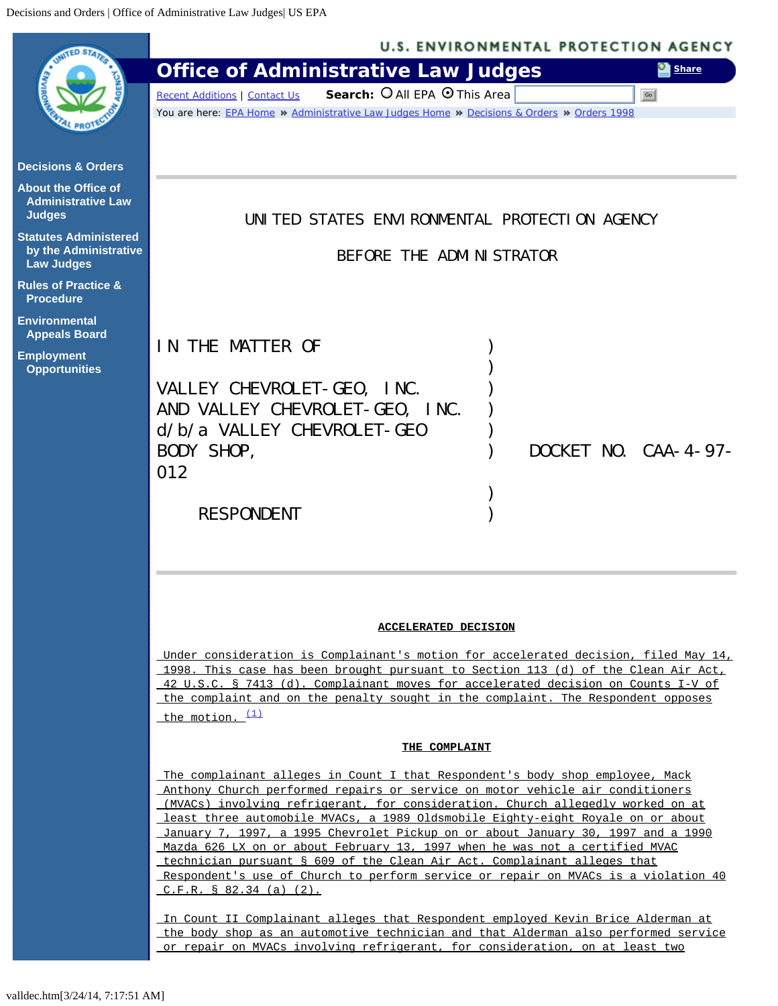<span id="page-0-0"></span>

|                                                                            | <b>U.S. ENVIRONMENTAL PROTECTION AGENCY</b>                                                                                                                                                                                                                                                                                                                                                                           |                                                                               |  |
|----------------------------------------------------------------------------|-----------------------------------------------------------------------------------------------------------------------------------------------------------------------------------------------------------------------------------------------------------------------------------------------------------------------------------------------------------------------------------------------------------------------|-------------------------------------------------------------------------------|--|
|                                                                            | <b>Office of Administrative Law Judges</b>                                                                                                                                                                                                                                                                                                                                                                            | Share                                                                         |  |
|                                                                            | Search: O All EPA O This Area<br>Go<br><b>Recent Additions   Contact Us</b><br>You are here: EPA Home * Administrative Law Judges Home * Decisions & Orders * Orders 1998                                                                                                                                                                                                                                             |                                                                               |  |
|                                                                            |                                                                                                                                                                                                                                                                                                                                                                                                                       |                                                                               |  |
| <b>Decisions &amp; Orders</b>                                              |                                                                                                                                                                                                                                                                                                                                                                                                                       |                                                                               |  |
| <b>About the Office of</b><br><b>Administrative Law</b><br><b>Judges</b>   | UNITED STATES ENVIRONMENTAL PROTECTION AGENCY                                                                                                                                                                                                                                                                                                                                                                         |                                                                               |  |
| <b>Statutes Administered</b><br>by the Administrative<br><b>Law Judges</b> | BEFORE THE ADMINISTRATOR                                                                                                                                                                                                                                                                                                                                                                                              |                                                                               |  |
| <b>Rules of Practice &amp;</b><br><b>Procedure</b>                         |                                                                                                                                                                                                                                                                                                                                                                                                                       |                                                                               |  |
| <b>Environmental</b><br><b>Appeals Board</b>                               |                                                                                                                                                                                                                                                                                                                                                                                                                       |                                                                               |  |
| <b>Employment</b>                                                          | IN THE MATTER OF                                                                                                                                                                                                                                                                                                                                                                                                      |                                                                               |  |
| <b>Opportunities</b>                                                       |                                                                                                                                                                                                                                                                                                                                                                                                                       |                                                                               |  |
|                                                                            | VALLEY CHEVROLET-GEO, INC.                                                                                                                                                                                                                                                                                                                                                                                            |                                                                               |  |
|                                                                            | AND VALLEY CHEVROLET-GEO, INC.                                                                                                                                                                                                                                                                                                                                                                                        |                                                                               |  |
|                                                                            | $d/b/a$ VALLEY CHEVROLET-GEO                                                                                                                                                                                                                                                                                                                                                                                          |                                                                               |  |
|                                                                            | <b>BODY SHOP,</b><br>012                                                                                                                                                                                                                                                                                                                                                                                              | DOCKET NO. CAA- $4-97-$                                                       |  |
|                                                                            |                                                                                                                                                                                                                                                                                                                                                                                                                       |                                                                               |  |
|                                                                            | <b>RESPONDENT</b>                                                                                                                                                                                                                                                                                                                                                                                                     |                                                                               |  |
|                                                                            |                                                                                                                                                                                                                                                                                                                                                                                                                       |                                                                               |  |
|                                                                            |                                                                                                                                                                                                                                                                                                                                                                                                                       |                                                                               |  |
|                                                                            | <b>ACCELERATED DECISION</b><br>Under consideration is Complainant's motion for accelerated decision, filed May 14,<br>1998. This case has been brought pursuant to Section 113 (d) of the Clean Air Act,<br>42 U.S.C. § 7413 (d). Complainant moves for accelerated decision on Counts I-V of<br>the complaint and on the penalty sought in the complaint. The Respondent opposes<br>the motion. (1)<br>THE COMPLAINT |                                                                               |  |
|                                                                            |                                                                                                                                                                                                                                                                                                                                                                                                                       |                                                                               |  |
|                                                                            |                                                                                                                                                                                                                                                                                                                                                                                                                       |                                                                               |  |
|                                                                            |                                                                                                                                                                                                                                                                                                                                                                                                                       |                                                                               |  |
|                                                                            |                                                                                                                                                                                                                                                                                                                                                                                                                       |                                                                               |  |
|                                                                            |                                                                                                                                                                                                                                                                                                                                                                                                                       |                                                                               |  |
|                                                                            |                                                                                                                                                                                                                                                                                                                                                                                                                       | The complainant alleges in Count I that Respondent's body shop employee, Mack |  |
|                                                                            | Anthony Church performed repairs or service on motor vehicle air conditioners<br>(MVACs) involving refrigerant, for consideration. Church allegedly worked on at<br>least three automobile MVACs, a 1989 Oldsmobile Eighty-eight Royale on or about                                                                                                                                                                   |                                                                               |  |
|                                                                            | January 7, 1997, a 1995 Chevrolet Pickup on or about January 30, 1997 and a 1990<br>Mazda 626 LX on or about February 13, 1997 when he was not a certified MVAC                                                                                                                                                                                                                                                       |                                                                               |  |
|                                                                            | technician pursuant § 609 of the Clean Air Act. Complainant alleges that                                                                                                                                                                                                                                                                                                                                              |                                                                               |  |
|                                                                            | <u>Respondent's use of Church to perform service or repair on MVACs is a violation 40</u><br>C.F.R. S 82.34 (a) (2).                                                                                                                                                                                                                                                                                                  |                                                                               |  |
|                                                                            | <u>In Count II Complainant alleges that Respondent employed Kevin Brice Alderman at</u>                                                                                                                                                                                                                                                                                                                               |                                                                               |  |
|                                                                            | the body shop as an automotive technician and that Alderman also performed service<br>or repair on MVACs involving refrigerant, for consideration, on at least two                                                                                                                                                                                                                                                    |                                                                               |  |
|                                                                            |                                                                                                                                                                                                                                                                                                                                                                                                                       |                                                                               |  |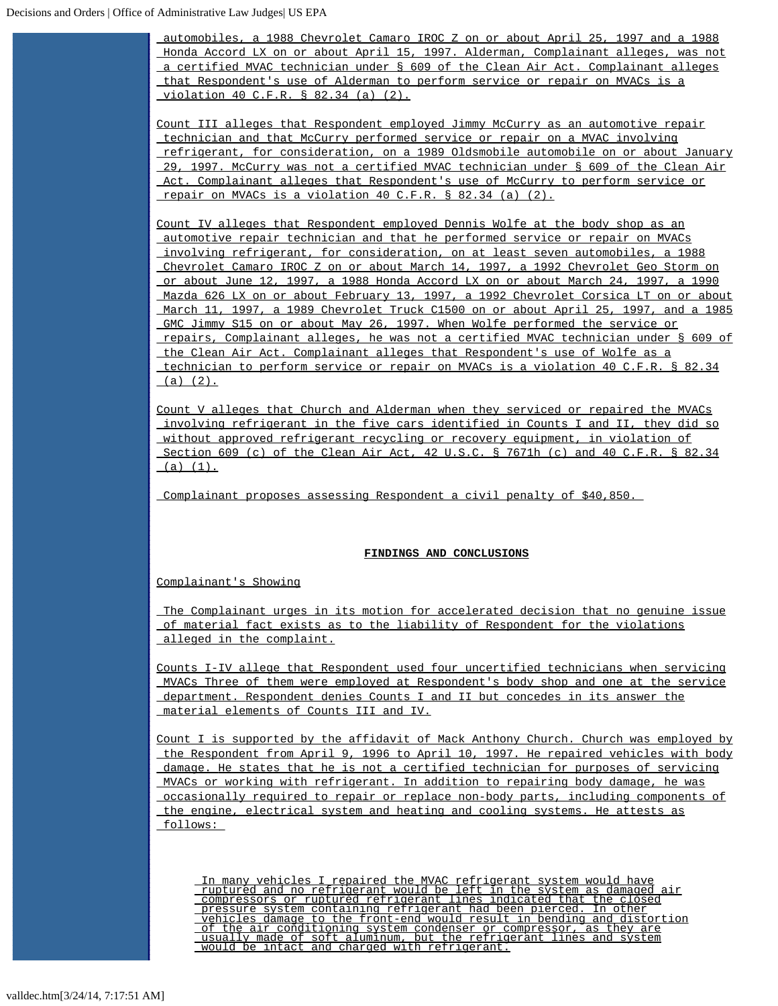automobiles, a 1988 Chevrolet Camaro IROC Z on or about April 25, 1997 and a 1988 Honda Accord LX on or about April 15, 1997. Alderman, Complainant alleges, was not a certified MVAC technician under § 609 of the Clean Air Act. Complainant alleges that Respondent's use of Alderman to perform service or repair on MVACs is a violation 40 C.F.R. § 82.34 (a) (2).

Count III alleges that Respondent employed Jimmy McCurry as an automotive repair technician and that McCurry performed service or repair on a MVAC involving refrigerant, for consideration, on a 1989 Oldsmobile automobile on or about January 29, 1997. McCurry was not a certified MVAC technician under § 609 of the Clean Air Act. Complainant alleges that Respondent's use of McCurry to perform service or repair on MVACs is a violation 40 C.F.R. § 82.34 (a) (2).

Count IV alleges that Respondent employed Dennis Wolfe at the body shop as an automotive repair technician and that he performed service or repair on MVACs involving refrigerant, for consideration, on at least seven automobiles, a 1988 Chevrolet Camaro IROC Z on or about March 14, 1997, a 1992 Chevrolet Geo Storm on or about June 12, 1997, a 1988 Honda Accord LX on or about March 24, 1997, a 1990 Mazda 626 LX on or about February 13, 1997, a 1992 Chevrolet Corsica LT on or about March 11, 1997, a 1989 Chevrolet Truck C1500 on or about April 25, 1997, and a 1985 GMC Jimmy S15 on or about May 26, 1997. When Wolfe performed the service or repairs, Complainant alleges, he was not a certified MVAC technician under § 609 of the Clean Air Act. Complainant alleges that Respondent's use of Wolfe as a technician to perform service or repair on MVACs is a violation 40 C.F.R. § 82.34  $(a) (2)$ .

Count V alleges that Church and Alderman when they serviced or repaired the MVACs involving refrigerant in the five cars identified in Counts I and II, they did so without approved refrigerant recycling or recovery equipment, in violation of Section 609 (c) of the Clean Air Act, 42 U.S.C. § 7671h (c) and 40 C.F.R. § 82.34  $(a) (1).$ 

Complainant proposes assessing Respondent a civil penalty of \$40,850.

## **FINDINGS AND CONCLUSIONS**

Complainant's Showing

The Complainant urges in its motion for accelerated decision that no genuine issue of material fact exists as to the liability of Respondent for the violations alleged in the complaint.

Counts I-IV allege that Respondent used four uncertified technicians when servicing MVACs Three of them were employed at Respondent's body shop and one at the service department. Respondent denies Counts I and II but concedes in its answer the material elements of Counts III and IV.

Count I is supported by the affidavit of Mack Anthony Church. Church was employed by the Respondent from April 9, 1996 to April 10, 1997. He repaired vehicles with body damage. He states that he is not a certified technician for purposes of servicing MVACs or working with refrigerant. In addition to repairing body damage, he was occasionally required to repair or replace non-body parts, including components of the engine, electrical system and heating and cooling systems. He attests as follows:

In many vehicles I repaired the MVAC refrigerant system would have<br>ruptured and no refrigerant would be left in the system as damaged air<br>compressors or ruptured refrigerant lines indicated that the closed<br>pressure system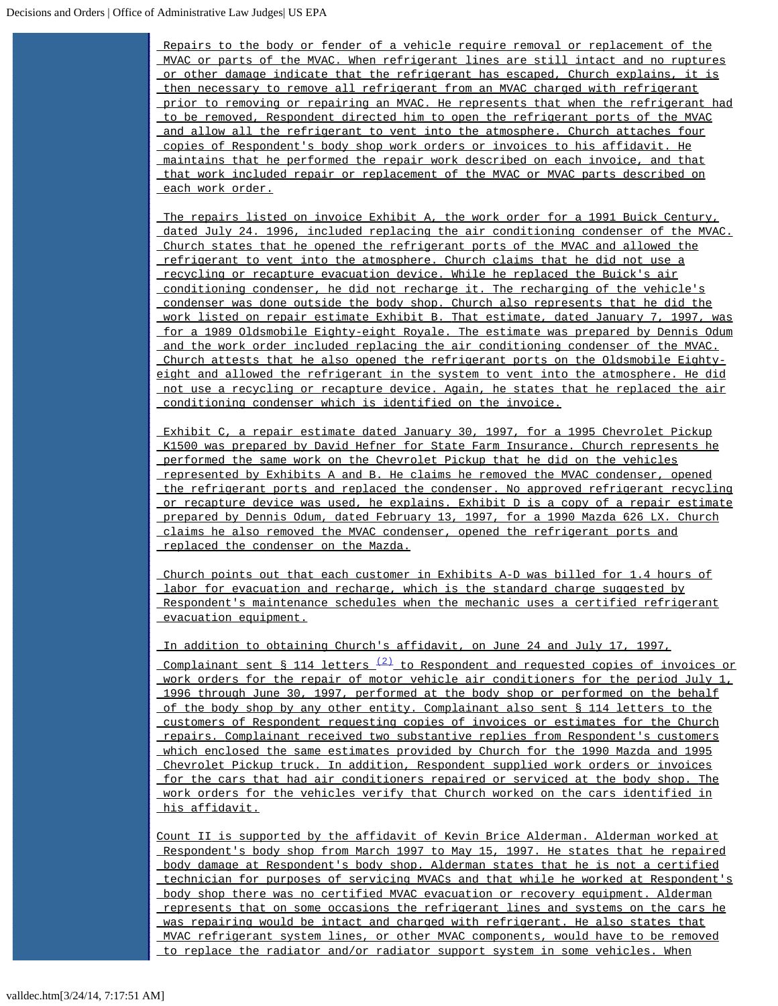Repairs to the body or fender of a vehicle require removal or replacement of the MVAC or parts of the MVAC. When refrigerant lines are still intact and no ruptures or other damage indicate that the refrigerant has escaped, Church explains, it is then necessary to remove all refrigerant from an MVAC charged with refrigerant prior to removing or repairing an MVAC. He represents that when the refrigerant had to be removed, Respondent directed him to open the refrigerant ports of the MVAC and allow all the refrigerant to vent into the atmosphere. Church attaches four copies of Respondent's body shop work orders or invoices to his affidavit. He maintains that he performed the repair work described on each invoice, and that that work included repair or replacement of the MVAC or MVAC parts described on each work order.

The repairs listed on invoice Exhibit A, the work order for a 1991 Buick Century, dated July 24. 1996, included replacing the air conditioning condenser of the MVAC. Church states that he opened the refrigerant ports of the MVAC and allowed the refrigerant to vent into the atmosphere. Church claims that he did not use a recycling or recapture evacuation device. While he replaced the Buick's air conditioning condenser, he did not recharge it. The recharging of the vehicle's condenser was done outside the body shop. Church also represents that he did the work listed on repair estimate Exhibit B. That estimate, dated January 7, 1997, was for a 1989 Oldsmobile Eighty-eight Royale. The estimate was prepared by Dennis Odum and the work order included replacing the air conditioning condenser of the MVAC. Church attests that he also opened the refrigerant ports on the Oldsmobile Eightyeight and allowed the refrigerant in the system to vent into the atmosphere. He did not use a recycling or recapture device. Again, he states that he replaced the air conditioning condenser which is identified on the invoice.

Exhibit C, a repair estimate dated January 30, 1997, for a 1995 Chevrolet Pickup K1500 was prepared by David Hefner for State Farm Insurance. Church represents he performed the same work on the Chevrolet Pickup that he did on the vehicles represented by Exhibits A and B. He claims he removed the MVAC condenser, opened the refrigerant ports and replaced the condenser. No approved refrigerant recycling or recapture device was used, he explains. Exhibit D is a copy of a repair estimate prepared by Dennis Odum, dated February 13, 1997, for a 1990 Mazda 626 LX. Church claims he also removed the MVAC condenser, opened the refrigerant ports and replaced the condenser on the Mazda.

Church points out that each customer in Exhibits A-D was billed for 1.4 hours of labor for evacuation and recharge, which is the standard charge suggested by Respondent's maintenance schedules when the mechanic uses a certified refrigerant evacuation equipment.

In addition to obtaining Church's affidavit, on June 24 and July 17, 1997,

<u>Complainant sent § 114 letters  $\frac{(2)}{2}$  to Respondent and requested copies of invoices or</u> work orders for the repair of motor vehicle air conditioners for the period July 1, 1996 through June 30, 1997, performed at the body shop or performed on the behalf of the body shop by any other entity. Complainant also sent § 114 letters to the customers of Respondent requesting copies of invoices or estimates for the Church repairs. Complainant received two substantive replies from Respondent's customers which enclosed the same estimates provided by Church for the 1990 Mazda and 1995 Chevrolet Pickup truck. In addition, Respondent supplied work orders or invoices for the cars that had air conditioners repaired or serviced at the body shop. The work orders for the vehicles verify that Church worked on the cars identified in his affidavit.

Count II is supported by the affidavit of Kevin Brice Alderman. Alderman worked at Respondent's body shop from March 1997 to May 15, 1997. He states that he repaired body damage at Respondent's body shop. Alderman states that he is not a certified technician for purposes of servicing MVACs and that while he worked at Respondent's body shop there was no certified MVAC evacuation or recovery equipment. Alderman represents that on some occasions the refrigerant lines and systems on the cars he was repairing would be intact and charged with refrigerant. He also states that MVAC refrigerant system lines, or other MVAC components, would have to be removed to replace the radiator and/or radiator support system in some vehicles. When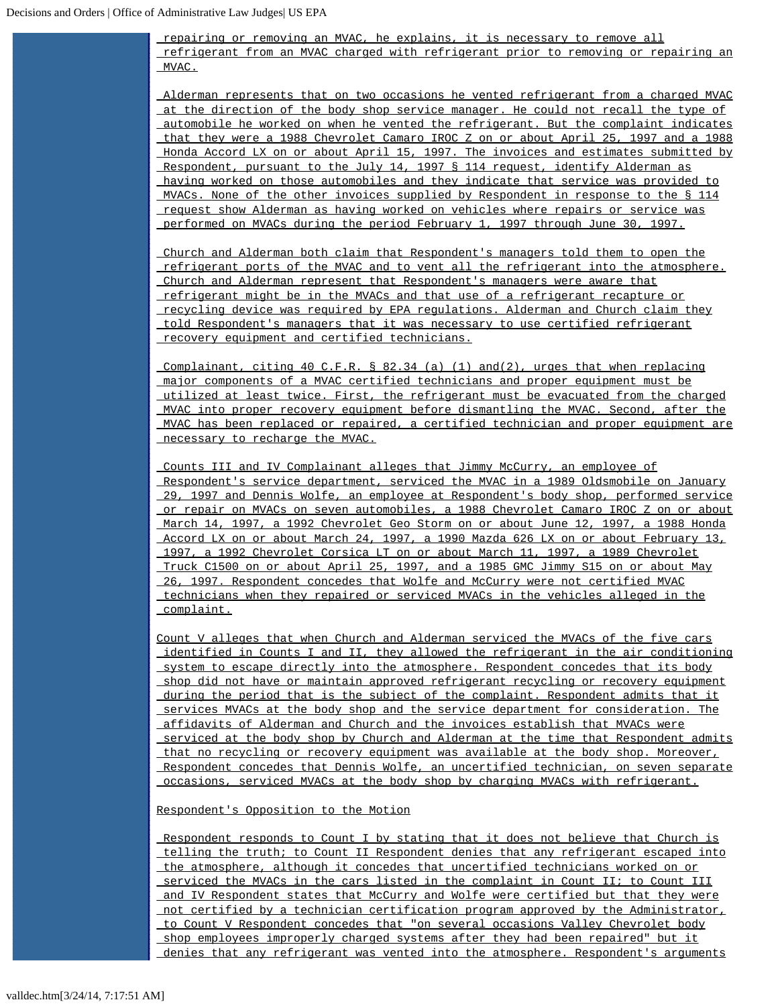repairing or removing an MVAC, he explains, it is necessary to remove all refrigerant from an MVAC charged with refrigerant prior to removing or repairing an MVAC.

Alderman represents that on two occasions he vented refrigerant from a charged MVAC at the direction of the body shop service manager. He could not recall the type of automobile he worked on when he vented the refrigerant. But the complaint indicates that they were a 1988 Chevrolet Camaro IROC Z on or about April 25, 1997 and a 1988 Honda Accord LX on or about April 15, 1997. The invoices and estimates submitted by Respondent, pursuant to the July 14, 1997 § 114 request, identify Alderman as having worked on those automobiles and they indicate that service was provided to MVACs. None of the other invoices supplied by Respondent in response to the § 114 request show Alderman as having worked on vehicles where repairs or service was performed on MVACs during the period February 1, 1997 through June 30, 1997.

Church and Alderman both claim that Respondent's managers told them to open the refrigerant ports of the MVAC and to vent all the refrigerant into the atmosphere. Church and Alderman represent that Respondent's managers were aware that refrigerant might be in the MVACs and that use of a refrigerant recapture or recycling device was required by EPA regulations. Alderman and Church claim they told Respondent's managers that it was necessary to use certified refrigerant recovery equipment and certified technicians.

Complainant, citing 40 C.F.R. § 82.34 (a) (1) and(2), urges that when replacing major components of a MVAC certified technicians and proper equipment must be utilized at least twice. First, the refrigerant must be evacuated from the charged MVAC into proper recovery equipment before dismantling the MVAC. Second, after the MVAC has been replaced or repaired, a certified technician and proper equipment are necessary to recharge the MVAC.

Counts III and IV Complainant alleges that Jimmy McCurry, an employee of Respondent's service department, serviced the MVAC in a 1989 Oldsmobile on January 29, 1997 and Dennis Wolfe, an employee at Respondent's body shop, performed service or repair on MVACs on seven automobiles, a 1988 Chevrolet Camaro IROC Z on or about March 14, 1997, a 1992 Chevrolet Geo Storm on or about June 12, 1997, a 1988 Honda Accord LX on or about March 24, 1997, a 1990 Mazda 626 LX on or about February 13, 1997, a 1992 Chevrolet Corsica LT on or about March 11, 1997, a 1989 Chevrolet Truck C1500 on or about April 25, 1997, and a 1985 GMC Jimmy S15 on or about May 26, 1997. Respondent concedes that Wolfe and McCurry were not certified MVAC technicians when they repaired or serviced MVACs in the vehicles alleged in the complaint.

Count V alleges that when Church and Alderman serviced the MVACs of the five cars identified in Counts I and II, they allowed the refrigerant in the air conditioning system to escape directly into the atmosphere. Respondent concedes that its body shop did not have or maintain approved refrigerant recycling or recovery equipment during the period that is the subject of the complaint. Respondent admits that it services MVACs at the body shop and the service department for consideration. The affidavits of Alderman and Church and the invoices establish that MVACs were serviced at the body shop by Church and Alderman at the time that Respondent admits that no recycling or recovery equipment was available at the body shop. Moreover, Respondent concedes that Dennis Wolfe, an uncertified technician, on seven separate occasions, serviced MVACs at the body shop by charging MVACs with refrigerant.

Respondent's Opposition to the Motion

Respondent responds to Count I by stating that it does not believe that Church is telling the truth; to Count II Respondent denies that any refrigerant escaped into the atmosphere, although it concedes that uncertified technicians worked on or serviced the MVACs in the cars listed in the complaint in Count II; to Count III and IV Respondent states that McCurry and Wolfe were certified but that they were not certified by a technician certification program approved by the Administrator, to Count V Respondent concedes that "on several occasions Valley Chevrolet body shop employees improperly charged systems after they had been repaired" but it denies that any refrigerant was vented into the atmosphere. Respondent's arguments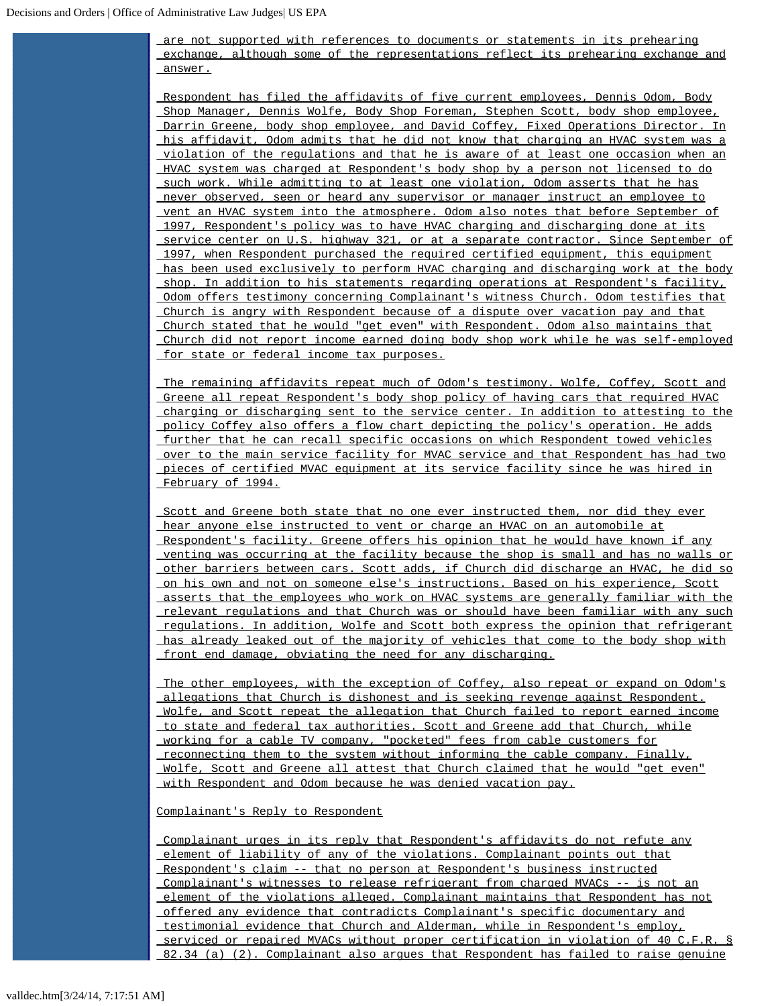are not supported with references to documents or statements in its prehearing exchange, although some of the representations reflect its prehearing exchange and answer.

Respondent has filed the affidavits of five current employees, Dennis Odom, Body Shop Manager, Dennis Wolfe, Body Shop Foreman, Stephen Scott, body shop employee, Darrin Greene, body shop employee, and David Coffey, Fixed Operations Director. In his affidavit, Odom admits that he did not know that charging an HVAC system was a violation of the regulations and that he is aware of at least one occasion when an HVAC system was charged at Respondent's body shop by a person not licensed to do such work. While admitting to at least one violation, Odom asserts that he has never observed, seen or heard any supervisor or manager instruct an employee to vent an HVAC system into the atmosphere. Odom also notes that before September of 1997, Respondent's policy was to have HVAC charging and discharging done at its service center on U.S. highway 321, or at a separate contractor. Since September of 1997, when Respondent purchased the required certified equipment, this equipment has been used exclusively to perform HVAC charging and discharging work at the body shop. In addition to his statements regarding operations at Respondent's facility, Odom offers testimony concerning Complainant's witness Church. Odom testifies that Church is angry with Respondent because of a dispute over vacation pay and that Church stated that he would "get even" with Respondent. Odom also maintains that Church did not report income earned doing body shop work while he was self-employed for state or federal income tax purposes.

The remaining affidavits repeat much of Odom's testimony. Wolfe, Coffey, Scott and Greene all repeat Respondent's body shop policy of having cars that required HVAC charging or discharging sent to the service center. In addition to attesting to the policy Coffey also offers a flow chart depicting the policy's operation. He adds further that he can recall specific occasions on which Respondent towed vehicles over to the main service facility for MVAC service and that Respondent has had two pieces of certified MVAC equipment at its service facility since he was hired in February of 1994.

Scott and Greene both state that no one ever instructed them, nor did they ever hear anyone else instructed to vent or charge an HVAC on an automobile at Respondent's facility. Greene offers his opinion that he would have known if any venting was occurring at the facility because the shop is small and has no walls or other barriers between cars. Scott adds, if Church did discharge an HVAC, he did so on his own and not on someone else's instructions. Based on his experience, Scott asserts that the employees who work on HVAC systems are generally familiar with the relevant regulations and that Church was or should have been familiar with any such regulations. In addition, Wolfe and Scott both express the opinion that refrigerant has already leaked out of the majority of vehicles that come to the body shop with front end damage, obviating the need for any discharging.

The other employees, with the exception of Coffey, also repeat or expand on Odom's allegations that Church is dishonest and is seeking revenge against Respondent. Wolfe, and Scott repeat the allegation that Church failed to report earned income to state and federal tax authorities. Scott and Greene add that Church, while working for a cable TV company, "pocketed" fees from cable customers for reconnecting them to the system without informing the cable company. Finally, Wolfe, Scott and Greene all attest that Church claimed that he would "get even" with Respondent and Odom because he was denied vacation pay.

Complainant's Reply to Respondent

Complainant urges in its reply that Respondent's affidavits do not refute any element of liability of any of the violations. Complainant points out that Respondent's claim -- that no person at Respondent's business instructed Complainant's witnesses to release refrigerant from charged MVACs -- is not an element of the violations alleged. Complainant maintains that Respondent has not offered any evidence that contradicts Complainant's specific documentary and testimonial evidence that Church and Alderman, while in Respondent's employ, serviced or repaired MVACs without proper certification in violation of 40 C.F.R. § 82.34 (a) (2). Complainant also argues that Respondent has failed to raise genuine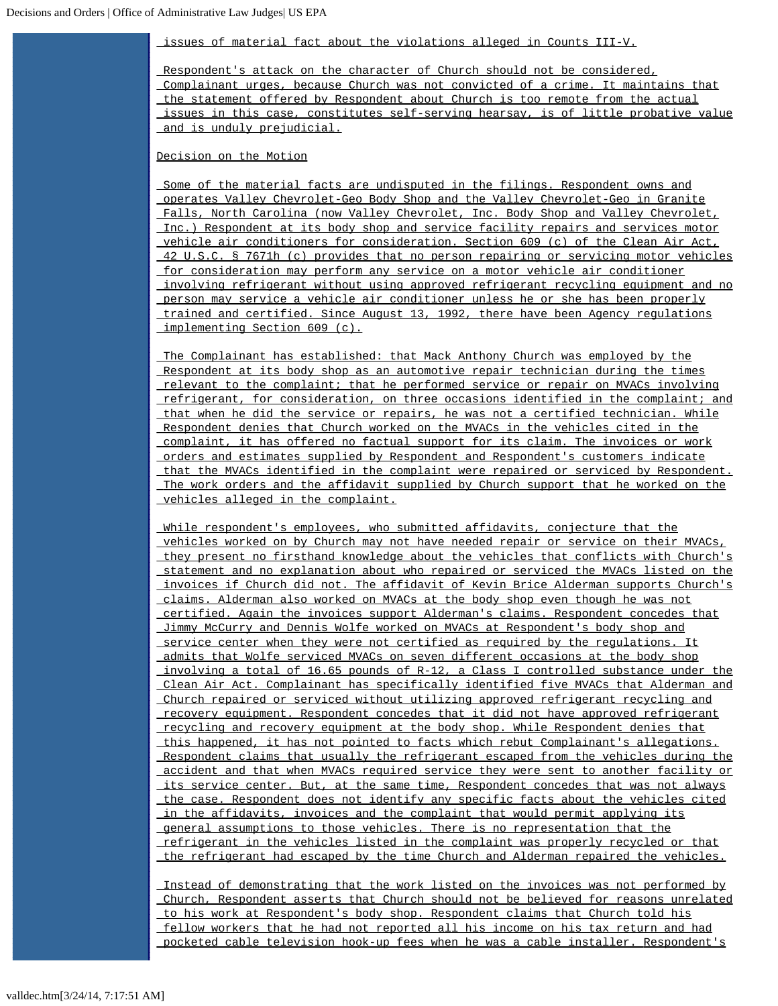issues of material fact about the violations alleged in Counts III-V.

Respondent's attack on the character of Church should not be considered, Complainant urges, because Church was not convicted of a crime. It maintains that the statement offered by Respondent about Church is too remote from the actual issues in this case, constitutes self-serving hearsay, is of little probative value and is unduly prejudicial.

Decision on the Motion

Some of the material facts are undisputed in the filings. Respondent owns and operates Valley Chevrolet-Geo Body Shop and the Valley Chevrolet-Geo in Granite Falls, North Carolina (now Valley Chevrolet, Inc. Body Shop and Valley Chevrolet, Inc.) Respondent at its body shop and service facility repairs and services motor vehicle air conditioners for consideration. Section 609 (c) of the Clean Air Act, 42 U.S.C. § 7671h (c) provides that no person repairing or servicing motor vehicles for consideration may perform any service on a motor vehicle air conditioner involving refrigerant without using approved refrigerant recycling equipment and no person may service a vehicle air conditioner unless he or she has been properly trained and certified. Since August 13, 1992, there have been Agency regulations implementing Section 609 (c).

The Complainant has established: that Mack Anthony Church was employed by the Respondent at its body shop as an automotive repair technician during the times relevant to the complaint; that he performed service or repair on MVACs involving refrigerant, for consideration, on three occasions identified in the complaint; and that when he did the service or repairs, he was not a certified technician. While Respondent denies that Church worked on the MVACs in the vehicles cited in the complaint, it has offered no factual support for its claim. The invoices or work orders and estimates supplied by Respondent and Respondent's customers indicate that the MVACs identified in the complaint were repaired or serviced by Respondent. The work orders and the affidavit supplied by Church support that he worked on the vehicles alleged in the complaint.

While respondent's employees, who submitted affidavits, conjecture that the vehicles worked on by Church may not have needed repair or service on their MVACs, they present no firsthand knowledge about the vehicles that conflicts with Church's statement and no explanation about who repaired or serviced the MVACs listed on the invoices if Church did not. The affidavit of Kevin Brice Alderman supports Church's claims. Alderman also worked on MVACs at the body shop even though he was not certified. Again the invoices support Alderman's claims. Respondent concedes that Jimmy McCurry and Dennis Wolfe worked on MVACs at Respondent's body shop and service center when they were not certified as required by the regulations. It admits that Wolfe serviced MVACs on seven different occasions at the body shop involving a total of 16.65 pounds of R-12, a Class I controlled substance under the Clean Air Act. Complainant has specifically identified five MVACs that Alderman and Church repaired or serviced without utilizing approved refrigerant recycling and recovery equipment. Respondent concedes that it did not have approved refrigerant recycling and recovery equipment at the body shop. While Respondent denies that this happened, it has not pointed to facts which rebut Complainant's allegations. Respondent claims that usually the refrigerant escaped from the vehicles during the accident and that when MVACs required service they were sent to another facility or its service center. But, at the same time, Respondent concedes that was not always the case. Respondent does not identify any specific facts about the vehicles cited in the affidavits, invoices and the complaint that would permit applying its general assumptions to those vehicles. There is no representation that the refrigerant in the vehicles listed in the complaint was properly recycled or that the refrigerant had escaped by the time Church and Alderman repaired the vehicles.

Instead of demonstrating that the work listed on the invoices was not performed by Church, Respondent asserts that Church should not be believed for reasons unrelated to his work at Respondent's body shop. Respondent claims that Church told his fellow workers that he had not reported all his income on his tax return and had pocketed cable television hook-up fees when he was a cable installer. Respondent's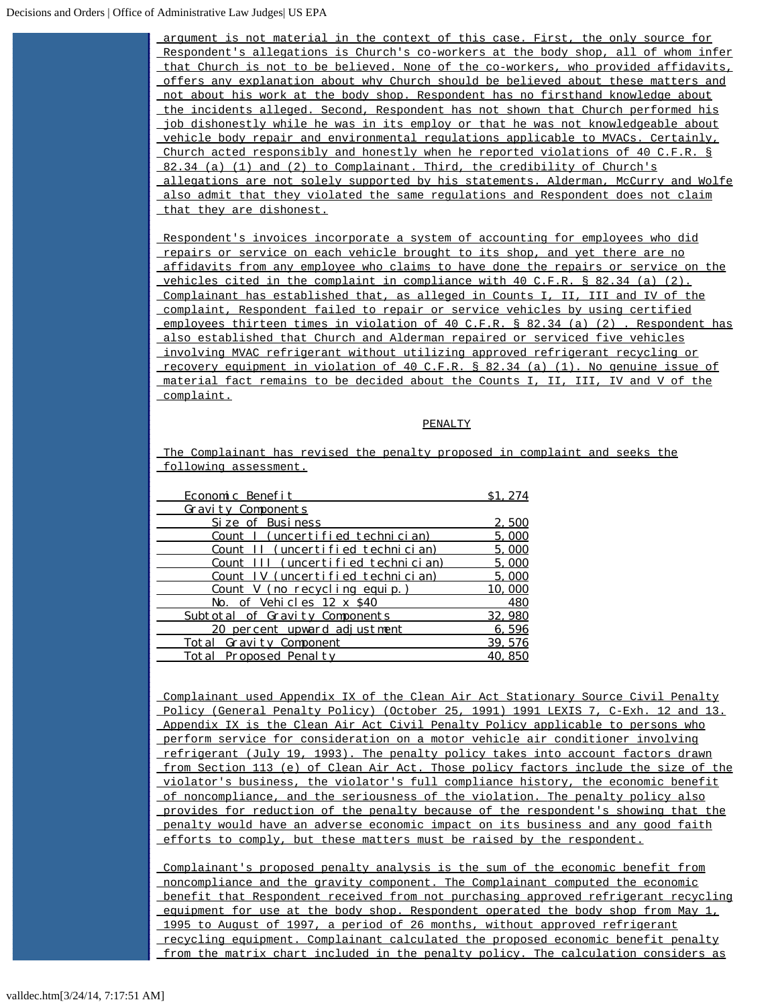## Decisions and Orders | Office of Administrative Law Judges| US EPA

 argument is not material in the context of this case. First, the only source for Respondent's allegations is Church's co-workers at the body shop, all of whom infer that Church is not to be believed. None of the co-workers, who provided affidavits, offers any explanation about why Church should be believed about these matters and not about his work at the body shop. Respondent has no firsthand knowledge about the incidents alleged. Second, Respondent has not shown that Church performed his job dishonestly while he was in its employ or that he was not knowledgeable about vehicle body repair and environmental regulations applicable to MVACs. Certainly, Church acted responsibly and honestly when he reported violations of 40 C.F.R. § 82.34 (a) (1) and (2) to Complainant. Third, the credibility of Church's allegations are not solely supported by his statements. Alderman, McCurry and Wolfe also admit that they violated the same regulations and Respondent does not claim that they are dishonest.

Respondent's invoices incorporate a system of accounting for employees who did repairs or service on each vehicle brought to its shop, and yet there are no affidavits from any employee who claims to have done the repairs or service on the vehicles cited in the complaint in compliance with 40 C.F.R. § 82.34 (a) (2). Complainant has established that, as alleged in Counts I, II, III and IV of the complaint, Respondent failed to repair or service vehicles by using certified employees thirteen times in violation of 40 C.F.R. § 82.34 (a) (2) . Respondent has also established that Church and Alderman repaired or serviced five vehicles involving MVAC refrigerant without utilizing approved refrigerant recycling or recovery equipment in violation of 40 C.F.R. § 82.34 (a) (1). No genuine issue of material fact remains to be decided about the Counts I, II, III, IV and V of the complaint.

## PENALTY

The Complainant has revised the penalty proposed in complaint and seeks the following assessment.

| Economic Benefit                   | S <sub>1</sub> . 274 |
|------------------------------------|----------------------|
| <b>Gravity Components</b>          |                      |
| Si ze of Busi ness                 | 2,500                |
| Count I (uncertified technician)   | 5.000                |
| Count II (uncertified technician)  | 5,000                |
| Count III (uncertified technician) | 5,000                |
| Count IV (uncertified technician)  | 5,000                |
| Count V (no recycling equip.)      | 10,000               |
| No. of Vehicles 12 x \$40          | 480                  |
| Subtotal of Gravity Components     | 32, 980              |
| 20 percent upward adjustment       | 6,596                |
| Total Gravity Component            | 39, 576              |
| Total Proposed Penalty             | 40.850               |

Complainant used Appendix IX of the Clean Air Act Stationary Source Civil Penalty Policy (General Penalty Policy) (October 25, 1991) 1991 LEXIS 7, C-Exh. 12 and 13. Appendix IX is the Clean Air Act Civil Penalty Policy applicable to persons who perform service for consideration on a motor vehicle air conditioner involving refrigerant (July 19, 1993). The penalty policy takes into account factors drawn from Section 113 (e) of Clean Air Act. Those policy factors include the size of the violator's business, the violator's full compliance history, the economic benefit of noncompliance, and the seriousness of the violation. The penalty policy also provides for reduction of the penalty because of the respondent's showing that the penalty would have an adverse economic impact on its business and any good faith efforts to comply, but these matters must be raised by the respondent.

Complainant's proposed penalty analysis is the sum of the economic benefit from noncompliance and the gravity component. The Complainant computed the economic benefit that Respondent received from not purchasing approved refrigerant recycling equipment for use at the body shop. Respondent operated the body shop from May 1, 1995 to August of 1997, a period of 26 months, without approved refrigerant recycling equipment. Complainant calculated the proposed economic benefit penalty from the matrix chart included in the penalty policy. The calculation considers as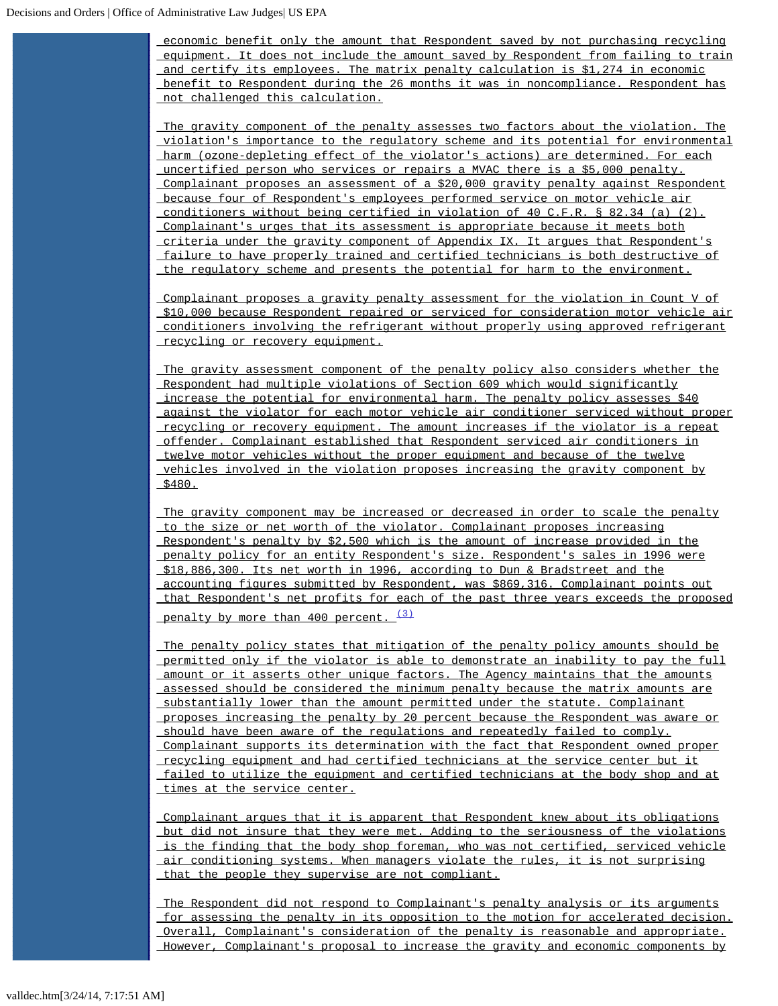economic benefit only the amount that Respondent saved by not purchasing recycling equipment. It does not include the amount saved by Respondent from failing to train and certify its employees. The matrix penalty calculation is \$1,274 in economic benefit to Respondent during the 26 months it was in noncompliance. Respondent has not challenged this calculation.

The gravity component of the penalty assesses two factors about the violation. The violation's importance to the regulatory scheme and its potential for environmental harm (ozone-depleting effect of the violator's actions) are determined. For each uncertified person who services or repairs a MVAC there is a \$5,000 penalty. Complainant proposes an assessment of a \$20,000 gravity penalty against Respondent because four of Respondent's employees performed service on motor vehicle air conditioners without being certified in violation of 40 C.F.R. § 82.34 (a) (2). Complainant's urges that its assessment is appropriate because it meets both criteria under the gravity component of Appendix IX. It argues that Respondent's failure to have properly trained and certified technicians is both destructive of the regulatory scheme and presents the potential for harm to the environment.

Complainant proposes a gravity penalty assessment for the violation in Count V of \$10,000 because Respondent repaired or serviced for consideration motor vehicle air conditioners involving the refrigerant without properly using approved refrigerant recycling or recovery equipment.

The gravity assessment component of the penalty policy also considers whether the Respondent had multiple violations of Section 609 which would significantly increase the potential for environmental harm. The penalty policy assesses \$40 against the violator for each motor vehicle air conditioner serviced without proper recycling or recovery equipment. The amount increases if the violator is a repeat offender. Complainant established that Respondent serviced air conditioners in twelve motor vehicles without the proper equipment and because of the twelve vehicles involved in the violation proposes increasing the gravity component by  $$480.$ 

The gravity component may be increased or decreased in order to scale the penalty to the size or net worth of the violator. Complainant proposes increasing Respondent's penalty by \$2,500 which is the amount of increase provided in the penalty policy for an entity Respondent's size. Respondent's sales in 1996 were \$18,886,300. Its net worth in 1996, according to Dun & Bradstreet and the accounting figures submitted by Respondent, was \$869,316. Complainant points out that Respondent's net profits for each of the past three years exceeds the proposed penalty by more than 400 percent. [\(3\)](#page-9-0)

The penalty policy states that mitigation of the penalty policy amounts should be permitted only if the violator is able to demonstrate an inability to pay the full amount or it asserts other unique factors. The Agency maintains that the amounts assessed should be considered the minimum penalty because the matrix amounts are substantially lower than the amount permitted under the statute. Complainant proposes increasing the penalty by 20 percent because the Respondent was aware or should have been aware of the regulations and repeatedly failed to comply. Complainant supports its determination with the fact that Respondent owned proper recycling equipment and had certified technicians at the service center but it failed to utilize the equipment and certified technicians at the body shop and at times at the service center.

Complainant argues that it is apparent that Respondent knew about its obligations but did not insure that they were met. Adding to the seriousness of the violations is the finding that the body shop foreman, who was not certified, serviced vehicle air conditioning systems. When managers violate the rules, it is not surprising that the people they supervise are not compliant.

The Respondent did not respond to Complainant's penalty analysis or its arguments for assessing the penalty in its opposition to the motion for accelerated decision. Overall, Complainant's consideration of the penalty is reasonable and appropriate. However, Complainant's proposal to increase the gravity and economic components by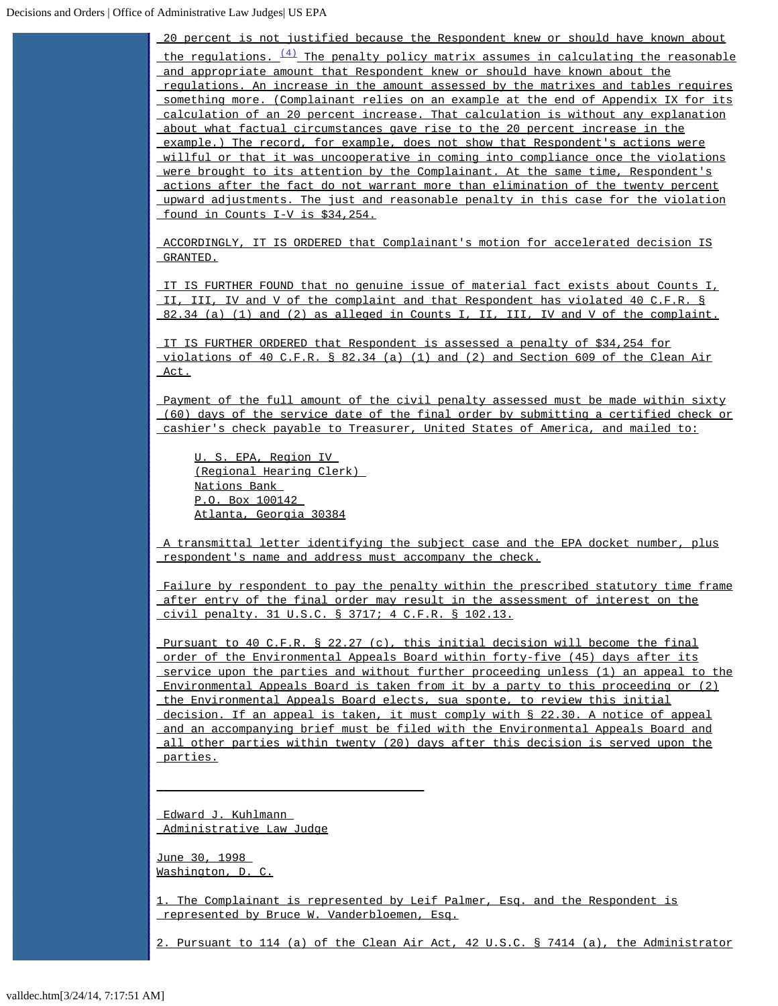20 percent is not justified because the Respondent knew or should have known about the regulations.  $\frac{(4)}{4}$  $\frac{(4)}{4}$  $\frac{(4)}{4}$  The penalty policy matrix assumes in calculating the reasonable and appropriate amount that Respondent knew or should have known about the regulations. An increase in the amount assessed by the matrixes and tables requires something more. (Complainant relies on an example at the end of Appendix IX for its calculation of an 20 percent increase. That calculation is without any explanation about what factual circumstances gave rise to the 20 percent increase in the example.) The record, for example, does not show that Respondent's actions were willful or that it was uncooperative in coming into compliance once the violations were brought to its attention by the Complainant. At the same time, Respondent's actions after the fact do not warrant more than elimination of the twenty percent upward adjustments. The just and reasonable penalty in this case for the violation found in Counts I-V is \$34,254.

ACCORDINGLY, IT IS ORDERED that Complainant's motion for accelerated decision IS GRANTED.

IT IS FURTHER FOUND that no genuine issue of material fact exists about Counts I, II, III, IV and V of the complaint and that Respondent has violated 40 C.F.R. § 82.34 (a) (1) and (2) as alleged in Counts I, II, III, IV and V of the complaint.

IT IS FURTHER ORDERED that Respondent is assessed a penalty of \$34,254 for violations of 40 C.F.R. § 82.34 (a) (1) and (2) and Section 609 of the Clean Air Act.

Payment of the full amount of the civil penalty assessed must be made within sixty (60) days of the service date of the final order by submitting a certified check or cashier's check payable to Treasurer, United States of America, and mailed to:

U. S. EPA, Region IV (Regional Hearing Clerk) Nations Bank P.O. Box 100142 Atlanta, Georgia 30384

A transmittal letter identifying the subject case and the EPA docket number, plus respondent's name and address must accompany the check.

Failure by respondent to pay the penalty within the prescribed statutory time frame after entry of the final order may result in the assessment of interest on the civil penalty. 31 U.S.C. § 3717; 4 C.F.R. § 102.13.

Pursuant to 40 C.F.R. § 22.27 (c), this initial decision will become the final order of the Environmental Appeals Board within forty-five (45) days after its service upon the parties and without further proceeding unless (1) an appeal to the Environmental Appeals Board is taken from it by a party to this proceeding or (2) the Environmental Appeals Board elects, sua sponte, to review this initial decision. If an appeal is taken, it must comply with § 22.30. A notice of appeal and an accompanying brief must be filed with the Environmental Appeals Board and all other parties within twenty (20) days after this decision is served upon the parties.

Edward J. Kuhlmann Administrative Law Judge

 $\overline{\phantom{a}}$  , and the contract of the contract of  $\overline{\phantom{a}}$ 

June 30, 1998 Washington, D. C.

<span id="page-8-0"></span>1. The Complainant is represented by Leif Palmer, Esq. and the Respondent is represented by Bruce W. Vanderbloemen, Esq.

<span id="page-8-1"></span>2. Pursuant to 114 (a) of the Clean Air Act, 42 U.S.C. § 7414 (a), the Administrator